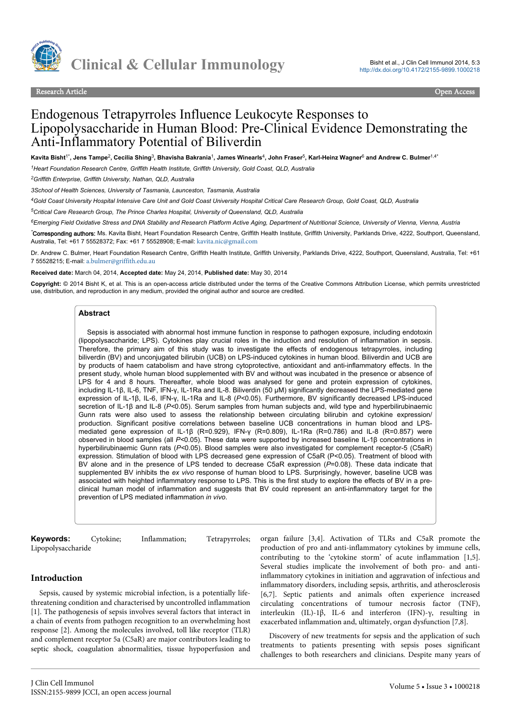

Research Article Open Access

# Endogenous Tetrapyrroles Influence Leukocyte Responses to Lipopolysaccharide in Human Blood: Pre-Clinical Evidence Demonstrating the Anti-Inflammatory Potential of Biliverdin

Kavita Bisht<sup>1\*</sup>, Jens Tampe<sup>2</sup>, Cecilia Shing<sup>3</sup>, Bhavisha Bakrania<sup>1</sup>, James Winearls<sup>4</sup>, John Fraser<sup>5</sup>, Karl-Heinz Wagner<sup>6</sup> and Andrew C. Bulmer<sup>1,4\*</sup>

*<sup>1</sup>Heart Foundation Research Centre, Griffith Health Institute, Griffith University, Gold Coast, QLD, Australia*

*<sup>2</sup>Griffith Enterprise, Griffith University, Nathan, QLD, Australia*

*3School of Health Sciences, University of Tasmania, Launceston, Tasmania, Australia*

*<sup>4</sup>Gold Coast University Hospital Intensive Care Unit and Gold Coast University Hospital Critical Care Research Group, Gold Coast, QLD, Australia*

*<sup>5</sup>Critical Care Research Group, The Prince Charles Hospital, University of Queensland, QLD, Australia*

*<sup>6</sup>Emerging Field Oxidative Stress and DNA Stability and Research Platform Active Aging, Department of Nutritional Science, University of Vienna, Vienna, Austria*

*\**Corresponding authors: Ms. Kavita Bisht, Heart Foundation Research Centre, Griffith Health Institute, Griffith University, Parklands Drive, 4222, Southport, Queensland, Australia, Tel: +61 7 55528372; Fax: +61 7 55528908; E-mail: [kavita.nic@gmail.com](mailto:kavita.nic@gmail.com)

Dr. Andrew C. Bulmer, Heart Foundation Research Centre, Griffith Health Institute, Griffith University, Parklands Drive, 4222, Southport, Queensland, Australia, Tel: +61 7 55528215; E-mail: [a.bulmer@griffith.edu.au](mailto:a.bulmer@griffith.edu.au)

**Received date:** March 04, 2014, **Accepted date:** May 24, 2014, **Published date:** May 30, 2014

**Copyright:** © 2014 Bisht K, et al. This is an open-access article distributed under the terms of the Creative Commons Attribution License, which permits unrestricted use, distribution, and reproduction in any medium, provided the original author and source are credited.

#### **Abstract**

Sepsis is associated with abnormal host immune function in response to pathogen exposure, including endotoxin (lipopolysaccharide; LPS). Cytokines play crucial roles in the induction and resolution of inflammation in sepsis. Therefore, the primary aim of this study was to investigate the effects of endogenous tetrapyrroles, including biliverdin (BV) and unconjugated bilirubin (UCB) on LPS-induced cytokines in human blood. Biliverdin and UCB are by products of haem catabolism and have strong cytoprotective, antioxidant and anti-inflammatory effects. In the present study, whole human blood supplemented with BV and without was incubated in the presence or absence of LPS for 4 and 8 hours. Thereafter, whole blood was analysed for gene and protein expression of cytokines, including IL-1β, IL-6, TNF, IFN-γ, IL-1Ra and IL-8. Biliverdin (50 μM) significantly decreased the LPS-mediated gene expression of IL-1β, IL-6, IFN-γ, IL-1Ra and IL-8 (*P<*0.05). Furthermore, BV significantly decreased LPS-induced secretion of IL-1β and IL-8 (*P<*0.05). Serum samples from human subjects and, wild type and hyperbilirubinaemic Gunn rats were also used to assess the relationship between circulating bilirubin and cytokine expression/ production. Significant positive correlations between baseline UCB concentrations in human blood and LPSmediated gene expression of IL-1β (R=0.929), IFN-γ (R=0.809), IL-1Ra (R=0.786) and IL-8 (R=0.857) were observed in blood samples (all *P<*0.05). These data were supported by increased baseline IL-1β concentrations in hyperbilirubinaemic Gunn rats (*P<*0.05). Blood samples were also investigated for complement receptor-5 (C5aR) expression. Stimulation of blood with LPS decreased gene expression of C5aR (P<0.05). Treatment of blood with BV alone and in the presence of LPS tended to decrease C5aR expression (*P*=0.08). These data indicate that supplemented BV inhibits the *ex vivo* response of human blood to LPS. Surprisingly, however, baseline UCB was associated with heighted inflammatory response to LPS. This is the first study to explore the effects of BV in a preclinical human model of inflammation and suggests that BV could represent an anti-inflammatory target for the prevention of LPS mediated inflammation *in vivo*.

**Keywords:** Cytokine; Inflammation; Tetrapyrroles; Lipopolysaccharide

## **Introduction**

Sepsis, caused by systemic microbial infection, is a potentially lifethreatening condition and characterised by uncontrolled inflammation [1]. The pathogenesis of sepsis involves several factors that interact in a chain of events from pathogen recognition to an overwhelming host response [2]. Among the molecules involved, toll like receptor (TLR) and complement receptor 5a (C5aR) are major contributors leading to septic shock, coagulation abnormalities, tissue hypoperfusion and organ failure [3,4]. Activation of TLRs and C5aR promote the production of pro and anti-inflammatory cytokines by immune cells, contributing to the 'cytokine storm' of acute inflammation [1,5]. Several studies implicate the involvement of both pro- and antiinflammatory cytokines in initiation and aggravation of infectious and inflammatory disorders, including sepsis, arthritis, and atherosclerosis [6,7]. Septic patients and animals often experience increased circulating concentrations of tumour necrosis factor (TNF), interleukin (IL)-1β, IL-6 and interferon (IFN)-γ, resulting in exacerbated inflammation and, ultimately, organ dysfunction [7,8].

Discovery of new treatments for sepsis and the application of such treatments to patients presenting with sepsis poses significant challenges to both researchers and clinicians. Despite many years of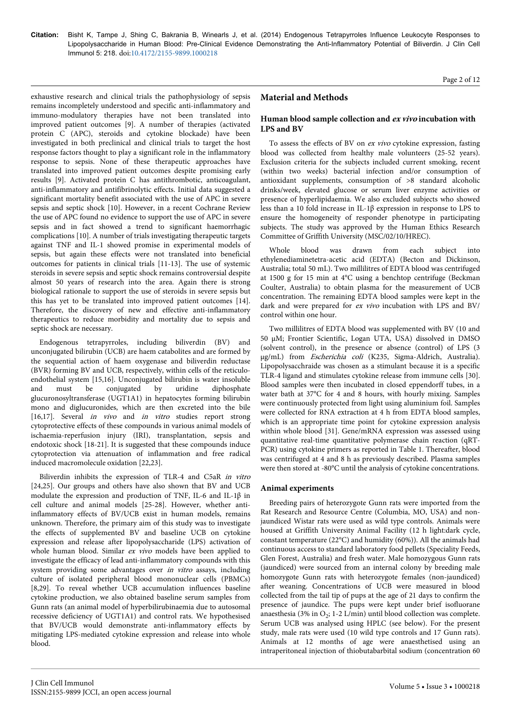Page 2 of 12

exhaustive research and clinical trials the pathophysiology of sepsis remains incompletely understood and specific anti-inflammatory and immuno-modulatory therapies have not been translated into improved patient outcomes [9]. A number of therapies (activated protein C (APC), steroids and cytokine blockade) have been investigated in both preclinical and clinical trials to target the host response factors thought to play a significant role in the inflammatory response to sepsis. None of these therapeutic approaches have translated into improved patient outcomes despite promising early results [9]. Activated protein C has antithrombotic, anticoagulant, anti-inflammatory and antifibrinolytic effects. Initial data suggested a significant mortality benefit associated with the use of APC in severe sepsis and septic shock [10]. However, in a recent Cochrane Review the use of APC found no evidence to support the use of APC in severe sepsis and in fact showed a trend to significant haemorrhagic complications [10]. A number of trials investigating therapeutic targets against TNF and IL-1 showed promise in experimental models of sepsis, but again these effects were not translated into beneficial outcomes for patients in clinical trials [11-13]. The use of systemic steroids in severe sepsis and septic shock remains controversial despite almost 50 years of research into the area. Again there is strong biological rationale to support the use of steroids in severe sepsis but this has yet to be translated into improved patient outcomes [14]. Therefore, the discovery of new and effective anti-inflammatory therapeutics to reduce morbidity and mortality due to sepsis and septic shock are necessary.

Endogenous tetrapyrroles, including biliverdin (BV) and unconjugated bilirubin (UCB) are haem catabolites and are formed by the sequential action of haem oxygenase and biliverdin reductase (BVR) forming BV and UCB, respectively, within cells of the reticuloendothelial system [15,16]. Unconjugated bilirubin is water insoluble and must be conjugated by uridine diphosphate glucuronosyltransferase (UGT1A1) in hepatocytes forming bilirubin mono and diglucuronides, which are then excreted into the bile [16,17]. Several *in vivo* and *in vitro* studies report strong cytoprotective effects of these compounds in various animal models of ischaemia-reperfusion injury (IRI), transplantation, sepsis and endotoxic shock [18-21]. It is suggested that these compounds induce cytoprotection via attenuation of inflammation and free radical induced macromolecule oxidation [22,23].

Biliverdin inhibits the expression of TLR-4 and C5aR in vitro [24,25]. Our groups and others have also shown that BV and UCB modulate the expression and production of TNF, IL-6 and IL-1β in cell culture and animal models [25-28]. However, whether antiinflammatory effects of BV/UCB exist in human models, remains unknown. Therefore, the primary aim of this study was to investigate the effects of supplemented BV and baseline UCB on cytokine expression and release after lipopolysaccharide (LPS) activation of whole human blood. Similar *ex vivo* models have been applied to investigate the efficacy of lead anti-inflammatory compounds with this system providing some advantages over in vitro assays, including culture of isolated peripheral blood mononuclear cells (PBMCs) [8,29]. To reveal whether UCB accumulation influences baseline cytokine production, we also obtained baseline serum samples from Gunn rats (an animal model of hyperbilirubinaemia due to autosomal recessive deficiency of UGT1A1) and control rats. We hypothesised that BV/UCB would demonstrate anti-inflammatory effects by mitigating LPS-mediated cytokine expression and release into whole blood.

## **Material and Methods**

## **Human blood sample collection and ex vivo incubation with LPS and BV**

To assess the effects of BV on ex vivo cytokine expression, fasting blood was collected from healthy male volunteers (25-52 years). Exclusion criteria for the subjects included current smoking, recent (within two weeks) bacterial infection and/or consumption of antioxidant supplements, consumption of >8 standard alcoholic drinks/week, elevated glucose or serum liver enzyme activities or presence of hyperlipidaemia. We also excluded subjects who showed less than a 10 fold increase in IL-1β expression in response to LPS to ensure the homogeneity of responder phenotype in participating subjects. The study was approved by the Human Ethics Research Committee of Griffith University (MSC/02/10/HREC).

Whole blood was drawn from each subject into ethylenediaminetetra-acetic acid (EDTA) (Becton and Dickinson, Australia; total 50 mL). Two millilitres of EDTA blood was centrifuged at 1500 g for 15 min at 4°C using a benchtop centrifuge (Beckman Coulter, Australia) to obtain plasma for the measurement of UCB concentration. The remaining EDTA blood samples were kept in the dark and were prepared for ex vivo incubation with LPS and BV/ control within one hour.

Two millilitres of EDTA blood was supplemented with BV (10 and 50 µM; Frontier Scientific, Logan UTA, USA) dissolved in DMSO (solvent control), in the presence or absence (control) of LPS (3 µg/mL) from Escherichia coli (K235, Sigma-Aldrich, Australia). Lipopolysacchraide was chosen as a stimulant because it is a specific TLR-4 ligand and stimulates cytokine release from immune cells [30]. Blood samples were then incubated in closed eppendorff tubes, in a water bath at 37°C for 4 and 8 hours, with hourly mixing. Samples were continuously protected from light using aluminium foil. Samples were collected for RNA extraction at 4 h from EDTA blood samples, which is an appropriate time point for cytokine expression analysis within whole blood [31]. Gene/mRNA expression was assessed using quantitative real-time quantitative polymerase chain reaction (qRT-PCR) using cytokine primers as reported in Table 1. Thereafter, blood was centrifuged at 4 and 8 h as previously described. Plasma samples were then stored at -80°C until the analysis of cytokine concentrations.

## **Animal experiments**

Breeding pairs of heterozygote Gunn rats were imported from the Rat Research and Resource Centre (Columbia, MO, USA) and nonjaundiced Wistar rats were used as wild type controls. Animals were housed at Griffith University Animal Facility (12 h light:dark cycle, constant temperature (22°C) and humidity (60%)). All the animals had continuous access to standard laboratory food pellets (Speciality Feeds, Glen Forest, Australia) and fresh water. Male homozygous Gunn rats (jaundiced) were sourced from an internal colony by breeding male homozygote Gunn rats with heterozygote females (non-jaundiced) after weaning. Concentrations of UCB were measured in blood collected from the tail tip of pups at the age of 21 days to confirm the presence of jaundice. The pups were kept under brief isofluorane anaesthesia (3% in  $O_2$ ; 1-2 L/min) until blood collection was complete. Serum UCB was analysed using HPLC (see below). For the present study, male rats were used (10 wild type controls and 17 Gunn rats). Animals at 12 months of age were anaesthetised using an intraperitoneal injection of thiobutabarbital sodium (concentration 60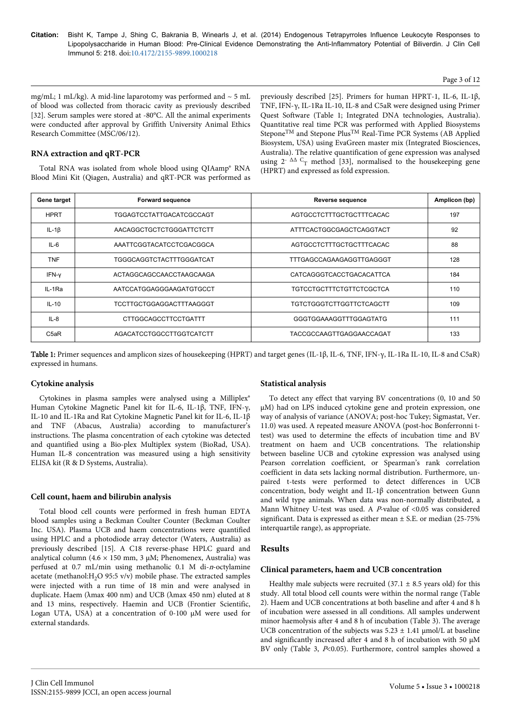#### Page 3 of 12

mg/mL; 1 mL/kg). A mid-line laparotomy was performed and  $\sim$  5 mL of blood was collected from thoracic cavity as previously described [32]. Serum samples were stored at -80°C. All the animal experiments were conducted after approval by Griffith University Animal Ethics Research Committee (MSC/06/12).

## **RNA extraction and qRT-PCR**

Total RNA was isolated from whole blood using QIAamp® RNA Blood Mini Kit (Qiagen, Australia) and qRT-PCR was performed as previously described [25]. Primers for human HPRT-1, IL-6, IL-1β, TNF, IFN-γ, IL-1Ra IL-10, IL-8 and C5aR were designed using Primer Quest Software (Table 1; Integrated DNA technologies, Australia). Quantitative real time PCR was performed with Applied Biosystems SteponeTM and Stepone PlusTM Real-Time PCR Systems (AB Applied Biosystem, USA) using EvaGreen master mix (Integrated Biosciences, Australia). The relative quantification of gene expression was analysed using  $2^{-\Delta\Delta}$  C<sub>T</sub> method [33], normalised to the housekeeping gene (HPRT) and expressed as fold expression.

| Gene target                   | <b>Forward sequence</b>         | <b>Reverse sequence</b>         | Amplicon (bp) |
|-------------------------------|---------------------------------|---------------------------------|---------------|
| <b>HPRT</b>                   | TGGAGTCCTATTGACATCGCCAGT        | AGTGCCTCTTTGCTGCTTTCACAC        | 197           |
| IL-1 $\beta$                  | AACAGGCTGCTCTGGGATTCTCTT        | ATTTCACTGGCGAGCTCAGGTACT        | 92            |
| $IL-6$                        | AAATTCGGTACATCCTCGACGGCA        | AGTGCCTCTTTGCTGCTTTCACAC        | 88            |
| <b>TNF</b>                    | TGGGCAGGTCTACTTTGGGATCAT        | TTTGAGCCAGAAGAGGTTGAGGGT        | 128           |
| IFN-y                         | ACTAGGCAGCCAACCTAAGCAAGA        | CATCAGGGTCACCTGACACATTCA        | 184           |
| IL-1Ra                        | AATCCATGGAGGGAAGATGTGCCT        | TGTCCTGCTTTCTGTTCTCGCTCA        | 110           |
| $IL-10$                       | <b>TCCTTGCTGGAGGACTTTAAGGGT</b> | <b>TGTCTGGGTCTTGGTTCTCAGCTT</b> | 109           |
| $IL - 8$                      | CTTGGCAGCCTTCCTGATTT            | GGGTGGAAAGGTTTGGAGTATG          | 111           |
| C <sub>5</sub> a <sub>R</sub> | AGACATCCTGGCCTTGGTCATCTT        | TACCGCCAAGTTGAGGAACCAGAT        | 133           |

Table 1: Primer sequences and amplicon sizes of housekeeping (HPRT) and target genes (IL-1β, IL-6, TNF, IFN-γ, IL-1Ra IL-10, IL-8 and C5aR) expressed in humans.

#### **Cytokine analysis**

Cytokines in plasma samples were analysed using a Milliplex® Human Cytokine Magnetic Panel kit for IL-6, IL-1β, TNF, IFN-γ, IL-10 and IL-1Ra and Rat Cytokine Magnetic Panel kit for IL-6, IL-1β and TNF (Abacus, Australia) according to manufacturer's instructions. The plasma concentration of each cytokine was detected and quantified using a Bio-plex Multiplex system (BioRad, USA). Human IL-8 concentration was measured using a high sensitivity ELISA kit (R & D Systems, Australia).

#### **Cell count, haem and bilirubin analysis**

Total blood cell counts were performed in fresh human EDTA blood samples using a Beckman Coulter Counter (Beckman Coulter Inc. USA). Plasma UCB and haem concentrations were quantified using HPLC and a photodiode array detector (Waters, Australia) as previously described [15]. A C18 reverse-phase HPLC guard and analytical column (4.6  $\times$  150 mm, 3 µM; Phenomenex, Australia) was perfused at 0.7 mL/min using methanolic 0.1 M di-n-octylamine acetate (methanol: $H_2O$  95:5 v/v) mobile phase. The extracted samples were injected with a run time of 18 min and were analysed in duplicate. Haem (λmax 400 nm) and UCB (λmax 450 nm) eluted at 8 and 13 mins, respectively. Haemin and UCB (Frontier Scientific, Logan UTA, USA) at a concentration of 0-100 µM were used for external standards.

#### **Statistical analysis**

To detect any effect that varying BV concentrations (0, 10 and 50 µM) had on LPS induced cytokine gene and protein expression, one way of analysis of variance (ANOVA; post-hoc Tukey; Sigmastat, Ver. 11.0) was used. A repeated measure ANOVA (post-hoc Bonferronni ttest) was used to determine the effects of incubation time and BV treatment on haem and UCB concentrations. The relationship between baseline UCB and cytokine expression was analysed using Pearson correlation coefficient, or Spearman's rank correlation coefficient in data sets lacking normal distribution. Furthermore, unpaired t-tests were performed to detect differences in UCB concentration, body weight and IL-1β concentration between Gunn and wild type animals. When data was non-normally distributed, a Mann Whitney U-test was used. A  $P$ -value of <0.05 was considered significant. Data is expressed as either mean  $\pm$  S.E. or median (25-75%) interquartile range), as appropriate.

#### **Results**

#### **Clinical parameters, haem and UCB concentration**

Healthy male subjects were recruited  $(37.1 \pm 8.5$  years old) for this study. All total blood cell counts were within the normal range (Table 2). Haem and UCB concentrations at both baseline and after 4 and 8 h of incubation were assessed in all conditions. All samples underwent minor haemolysis after 4 and 8 h of incubation (Table 3). The average UCB concentration of the subjects was  $5.23 \pm 1.41$  µmol/L at baseline and significantly increased after 4 and 8 h of incubation with 50  $\mu$ M BV only (Table 3, P<0.05). Furthermore, control samples showed a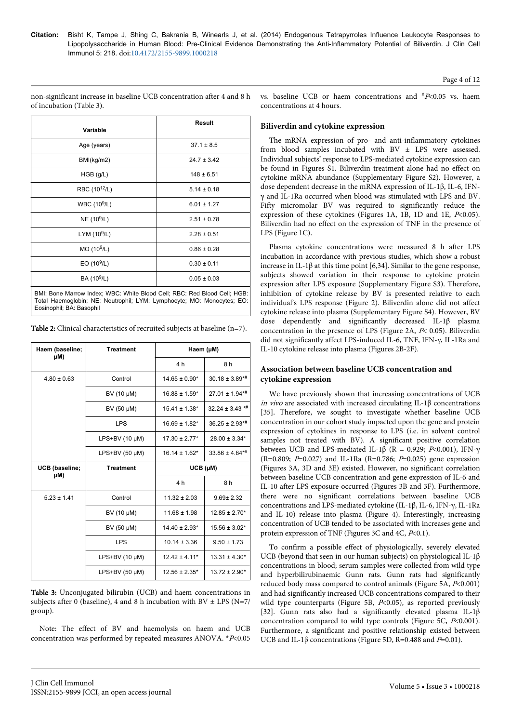| Variable                                                                                                                                           | Result          |  |
|----------------------------------------------------------------------------------------------------------------------------------------------------|-----------------|--|
|                                                                                                                                                    |                 |  |
| Age (years)                                                                                                                                        | $37.1 \pm 8.5$  |  |
| BMI(kg/m2)                                                                                                                                         | $24.7 \pm 3.42$ |  |
| $HGB$ (g/L)                                                                                                                                        | $148 \pm 6.51$  |  |
| RBC (10 <sup>12</sup> /L)                                                                                                                          | $5.14 \pm 0.18$ |  |
| WBC (10 <sup>9</sup> /L)                                                                                                                           | $6.01 \pm 1.27$ |  |
| $NE(10^9/L)$                                                                                                                                       | $2.51 \pm 0.78$ |  |
| LYM $(109/L)$                                                                                                                                      | $2.28 \pm 0.51$ |  |
| $MO(10^9/L)$                                                                                                                                       | $0.86 \pm 0.28$ |  |
| EO(10 <sup>9</sup> /L)                                                                                                                             | $0.30 \pm 0.11$ |  |
| BA (10 <sup>9</sup> /L)                                                                                                                            | $0.05 \pm 0.03$ |  |
| BMI: Bone Marrow Index; WBC: White Blood Cell; RBC: Red Blood Cell; HGB:<br>Total Haemoglobin; NE: Neutrophil; LYM: Lymphocyte; MO: Monocytes; EO: |                 |  |

non-significant increase in baseline UCB concentration after 4 and 8 h of incubation (Table 3).

vs. baseline UCB or haem concentrations and  $*P<0.05$  vs. haem concentrations at 4 hours.

## **Biliverdin and cytokine expression**

The mRNA expression of pro- and anti-inflammatory cytokines from blood samples incubated with BV  $\pm$  LPS were assessed. Individual subjects' response to LPS-mediated cytokine expression can be found in Figures S1. Biliverdin treatment alone had no effect on cytokine mRNA abundance (Supplementary Figure S2). However, a dose dependent decrease in the mRNA expression of IL-1β, IL-6, IFNγ and IL-1Ra occurred when blood was stimulated with LPS and BV. Fifty micromolar BV was required to significantly reduce the expression of these cytokines (Figures 1A, 1B, 1D and 1E,  $P<0.05$ ). Biliverdin had no effect on the expression of TNF in the presence of LPS (Figure 1C).

Plasma cytokine concentrations were measured 8 h after LPS incubation in accordance with previous studies, which show a robust increase in IL-1β at this time point [6,34]. Similar to the gene response, subjects showed variation in their response to cytokine protein expression after LPS exposure (Supplementary Figure S3). Therefore, inhibition of cytokine release by BV is presented relative to each individual's LPS response (Figure 2). Biliverdin alone did not affect cytokine release into plasma (Supplementary Figure S4). However, BV dose dependently and significantly decreased IL-1β plasma concentration in the presence of LPS (Figure 2A, P< 0.05). Biliverdin did not significantly affect LPS-induced IL-6, TNF, IFN-γ, IL-1Ra and IL-10 cytokine release into plasma (Figures 2B-2F).

## **Association between baseline UCB concentration and cytokine expression**

We have previously shown that increasing concentrations of UCB in vivo are associated with increased circulating IL-1 $\beta$  concentrations [35]. Therefore, we sought to investigate whether baseline UCB concentration in our cohort study impacted upon the gene and protein expression of cytokines in response to LPS (i.e. in solvent control samples not treated with BV). A significant positive correlation between UCB and LPS-mediated IL-1β (R = 0.929; P<0.001), IFN-γ (R=0.809; P=0.027) and IL-1Ra (R=0.786; P=0.025) gene expression (Figures 3A, 3D and 3E) existed. However, no significant correlation between baseline UCB concentration and gene expression of IL-6 and IL-10 after LPS exposure occurred (Figures 3B and 3F). Furthermore, there were no significant correlations between baseline UCB concentrations and LPS-mediated cytokine (IL-1β, IL-6, IFN-γ, IL-1Ra and IL-10) release into plasma (Figure 4). Interestingly, increasing concentration of UCB tended to be associated with increases gene and protein expression of TNF (Figures 3C and 4C,  $P<0.1$ ).

To confirm a possible effect of physiologically, severely elevated UCB (beyond that seen in our human subjects) on physiological IL-1β concentrations in blood; serum samples were collected from wild type and hyperbilirubinaemic Gunn rats. Gunn rats had significantly reduced body mass compared to control animals (Figure 5A,  $P<0.001$ ) and had significantly increased UCB concentrations compared to their wild type counterparts (Figure 5B,  $P<0.05$ ), as reported previously [32]. Gunn rats also had a significantly elevated plasma IL-1β concentration compared to wild type controls (Figure 5C,  $P<0.001$ ). Furthermore, a significant and positive relationship existed between UCB and IL-1 $\beta$  concentrations (Figure 5D, R=0.488 and P=0.01).

| Table 2: Clinical characteristics of recruited subjects at baseline $(n=7)$ . |
|-------------------------------------------------------------------------------|
|-------------------------------------------------------------------------------|

 $4.80 \pm 0.63$  Control 14.65  $\pm$  0.90\* 30.18  $\pm$  3.89\*#

**Treatment Haem (µM)**

BV (10 µM)  $16.88 \pm 1.59$ <sup>\*</sup> 27.01  $\pm$  1.94<sup>\*\*</sup> BV (50 µM)  $\vert$  15.41 ± 1.38\* 32.24 ± 3.43 \*#  $\left| \begin{array}{c} 1 \text{PS} \\ 16.69 + 1.82 \end{array} \right|$  36.25 + 2.93<sup>\*\*</sup>

LPS+BV (10 µM) 17.30 ± 2.77\* 28.00 ± 3.34\* LPS+BV (50 uM)  $16.14 \pm 1.62^*$  33.86  $\pm 4.84^{* \#}$ 

BV (10 µM)  $\vert$  11.68 ± 1.98  $\vert$  12.85 ± 2.70\* BV (50 µM) 14.40 ± 2.93\* 15.56 ± 3.02\* LPS 10.14 ± 3.36 9.50 ± 1.73

LPS+BV (10 µM) | 12.42 ± 4.11\* | 13.31 ± 4.30\* LPS+BV (50 µM)  $12.56 + 2.35*$  13.72 + 2.90\*

**Treatment UCB (µM)**

 $4 h$   $8 h$ 

4 h ah

Eosinophil; BA: Basophil

**Haem (baseline; µM)**

**UCB (baseline; µM)**

| Table 3: Unconjugated bilirubin (UCB) and haem concentrations in          |
|---------------------------------------------------------------------------|
| subjects after 0 (baseline), 4 and 8 h incubation with BV $\pm$ LPS (N=7/ |
| group).                                                                   |

 $5.23 \pm 1.41$  Control 11.32  $\pm$  2.03 9.69 $\pm$  2.32

Note: The effect of BV and haemolysis on haem and UCB concentration was performed by repeated measures ANOVA. \*P<0.05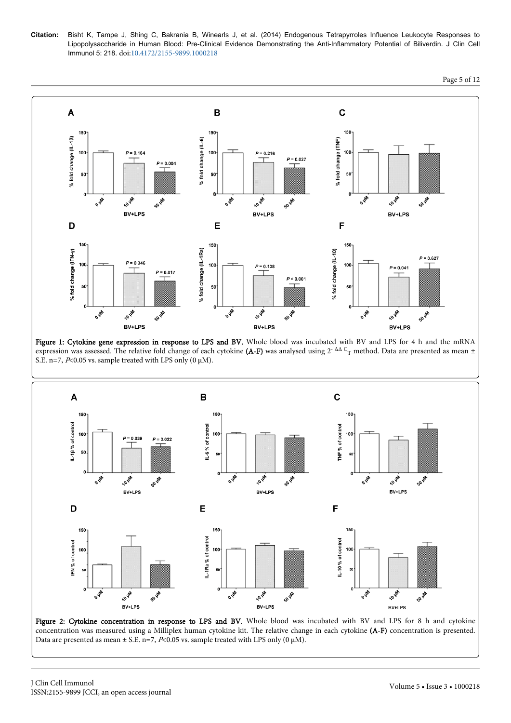

Figure 1: Cytokine gene expression in response to LPS and BV. Whole blood was incubated with BV and LPS for 4 h and the mRNA expression was assessed. The relative fold change of each cytokine **(A-F)** was analysed using 2<sup>- ∆∆ C</sup>T method. Data are presented as mean ± S.E. n=7,  $P<0.05$  vs. sample treated with LPS only (0  $\mu$ M).



Figure 2: Cytokine concentration in response to LPS and BV. Whole blood was incubated with BV and LPS for 8 h and cytokine concentration was measured using a Milliplex human cytokine kit. The relative change in each cytokine (A-F) concentration is presented. Data are presented as mean  $\pm$  S.E. n=7, P<0.05 vs. sample treated with LPS only (0  $\mu$ M).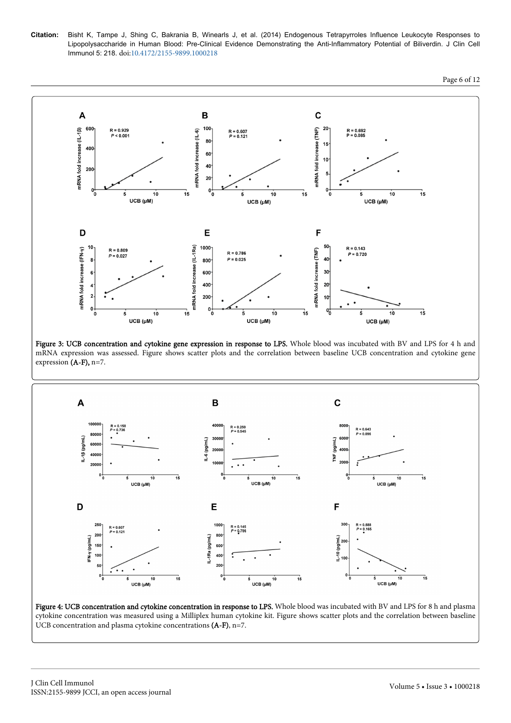**Citation:** Bisht K, Tampe J, Shing C, Bakrania B, Winearls J, et al. (2014) Endogenous Tetrapyrroles Influence Leukocyte Responses to Lipopolysaccharide in Human Blood: Pre-Clinical Evidence Demonstrating the Anti-Inflammatory Potential of Biliverdin. J Clin Cell Immunol 5: 218. doi:[10.4172/2155-9899.1000218](http://dx.doi.org/10.4172/2155-9899.1000218)





Figure 3: UCB concentration and cytokine gene expression in response to LPS. Whole blood was incubated with BV and LPS for 4 h and mRNA expression was assessed. Figure shows scatter plots and the correlation between baseline UCB concentration and cytokine gene expression (A-F), n=7.



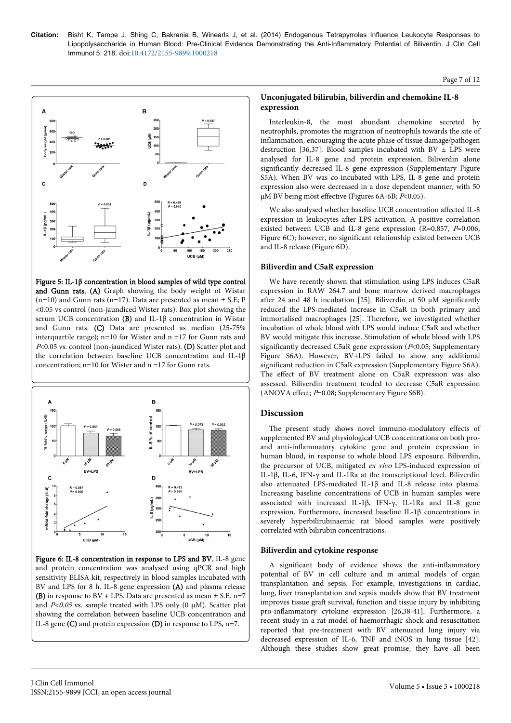#### Page 7 of 12



Figure 5: IL-1β concentration in blood samples of wild type control and Gunn rats. (A) Graph showing the body weight of Wistar  $(n=10)$  and Gunn rats  $(n=17)$ . Data are presented as mean  $\pm$  S.E; P <0.05 vs control (non-jaundiced Wister rats). Box plot showing the serum UCB concentration (B) and IL-1β concentration in Wistar and Gunn rats. (C) Data are presented as median (25-75% interquartile range); n=10 for Wister and  $n = 17$  for Gunn rats and P<0.05 vs. control (non-jaundiced Wister rats). (D) Scatter plot and the correlation between baseline UCB concentration and IL-1β concentration;  $n=10$  for Wister and  $n=17$  for Gunn rats.



Figure 6: IL-8 concentration in response to LPS and BV. IL-8 gene and protein concentration was analysed using qPCR and high sensitivity ELISA kit, respectively in blood samples incubated with BV and LPS for 8 h. IL-8 gene expression (A) and plasma release **(B)** in response to  $BV + LPS$ . Data are presented as mean  $\pm$  S.E. n=7 and  $P<0.05$  vs. sample treated with LPS only (0  $\mu$ M). Scatter plot showing the correlation between baseline UCB concentration and IL-8 gene (C) and protein expression (D) in response to LPS, n=7.

#### **Unconjugated bilirubin, biliverdin and chemokine IL-8 expression**

Interleukin-8, the most abundant chemokine secreted by neutrophils, promotes the migration of neutrophils towards the site of inflammation, encouraging the acute phase of tissue damage/pathogen destruction [36,37]. Blood samples incubated with BV  $\pm$  LPS were analysed for IL-8 gene and protein expression. Biliverdin alone significantly decreased IL-8 gene expression (Supplementary Figure S5A). When BV was co-incubated with LPS, IL-8 gene and protein expression also were decreased in a dose dependent manner, with 50  $\mu$ M BV being most effective (Figures 6A-6B;  $P$ <0.05).

We also analysed whether baseline UCB concentration affected IL-8 expression in leukocytes after LPS activation. A positive correlation existed between UCB and IL-8 gene expression (R=0.857,  $P=0.006$ ; Figure 6C); however, no significant relationship existed between UCB and IL-8 release (Figure 6D).

#### **Biliverdin and C5aR expression**

We have recently shown that stimulation using LPS induces C5aR expression in RAW 264.7 and bone marrow derived macrophages after 24 and 48 h incubation [25]. Biliverdin at 50  $\mu$ M significantly reduced the LPS-mediated increase in C5aR in both primary and immortalised macrophages [25]. Therefore, we investigated whether incubation of whole blood with LPS would induce C5aR and whether BV would mitigate this increase. Stimulation of whole blood with LPS significantly decreased C5aR gene expression ( $P<0.05$ ; Supplementary Figure S6A). However, BV+LPS failed to show any additional significant reduction in C5aR expression (Supplementary Figure S6A). The effect of BV treatment alone on C5aR expression was also assessed. Biliverdin treatment tended to decrease C5aR expression (ANOVA effect;  $P=0.08$ ; Supplementary Figure S6B).

## **Discussion**

The present study shows novel immuno-modulatory effects of supplemented BV and physiological UCB concentrations on both proand anti-inflammatory cytokine gene and protein expression in human blood, in response to whole blood LPS exposure. Biliverdin, the precursor of UCB, mitigated ex vivo LPS-induced expression of IL-1β, IL-6, IFN-γ and IL-1Ra at the transcriptional level. Biliverdin also attenuated LPS-mediated IL-1β and IL-8 release into plasma. Increasing baseline concentrations of UCB in human samples were associated with increased IL-1β, IFN-γ, IL-1Ra and IL-8 gene expression. Furthermore, increased baseline IL-1β concentrations in severely hyperbilirubinaemic rat blood samples were positively correlated with bilirubin concentrations.

#### **Biliverdin and cytokine response**

A significant body of evidence shows the anti-inflammatory potential of BV in cell culture and in animal models of organ transplantation and sepsis. For example, investigations in cardiac, lung, liver transplantation and sepsis models show that BV treatment improves tissue graft survival, function and tissue injury by inhibiting pro-inflammatory cytokine expression [26,38-41]. Furthermore, a recent study in a rat model of haemorrhagic shock and resuscitation reported that pre-treatment with BV attenuated lung injury via decreased expression of IL-6, TNF and iNOS in lung tissue [42]. Although these studies show great promise, they have all been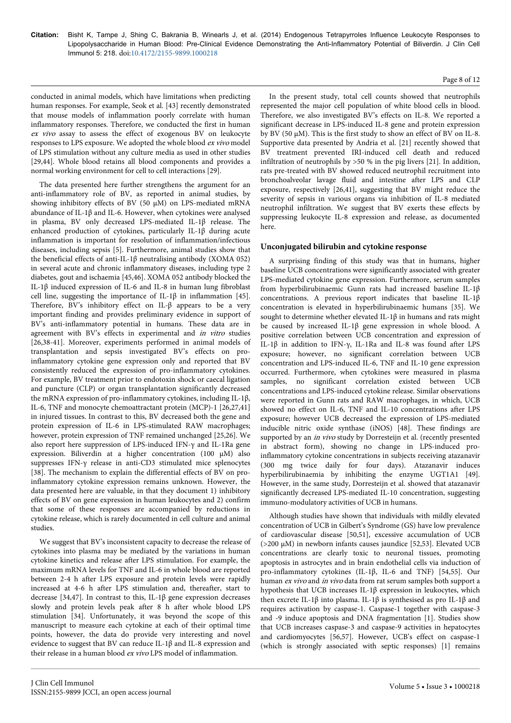#### Page 8 of 12

conducted in animal models, which have limitations when predicting human responses. For example, Seok et al. [43] recently demonstrated that mouse models of inflammation poorly correlate with human inflammatory responses. Therefore, we conducted the first in human ex vivo assay to assess the effect of exogenous BV on leukocyte responses to LPS exposure. We adopted the whole blood ex vivo model of LPS stimulation without any culture media as used in other studies [29,44]. Whole blood retains all blood components and provides a normal working environment for cell to cell interactions [29].

The data presented here further strengthens the argument for an anti-inflammatory role of BV, as reported in animal studies, by showing inhibitory effects of BV (50 µM) on LPS-mediated mRNA abundance of IL-1β and IL-6. However, when cytokines were analysed in plasma, BV only decreased LPS-mediated IL-1β release. The enhanced production of cytokines, particularly IL-1β during acute inflammation is important for resolution of inflammation/infectious diseases, including sepsis [5]. Furthermore, animal studies show that the beneficial effects of anti-IL-1β neutralising antibody (XOMA 052) in several acute and chronic inflammatory diseases, including type 2 diabetes, gout and ischaemia [45,46]. XOMA 052 antibody blocked the IL-1β induced expression of IL-6 and IL-8 in human lung fibroblast cell line, suggesting the importance of IL-1 $\beta$  in inflammation [45]. Therefore, BV's inhibitory effect on IL-β appears to be a very important finding and provides preliminary evidence in support of BV's anti-inflammatory potential in humans. These data are in agreement with BV's effects in experimental and in vitro studies [26,38-41]. Moreover, experiments performed in animal models of transplantation and sepsis investigated BV's effects on proinflammatory cytokine gene expression only and reported that BV consistently reduced the expression of pro-inflammatory cytokines. For example, BV treatment prior to endotoxin shock or caecal ligation and puncture (CLP) or organ transplantation significantly decreased the mRNA expression of pro-inflammatory cytokines, including IL-1β, IL-6, TNF and monocyte chemoattractant protein (MCP)-1 [26,27,41] in injured tissues. In contrast to this, BV decreased both the gene and protein expression of IL-6 in LPS-stimulated RAW macrophages; however, protein expression of TNF remained unchanged [25,26]. We also report here suppression of LPS-induced IFN-γ and IL-1Ra gene expression. Biliverdin at a higher concentration (100 µM) also suppresses IFN-γ release in anti-CD3 stimulated mice splenocytes [38]. The mechanism to explain the differential effects of BV on proinflammatory cytokine expression remains unknown. However, the data presented here are valuable, in that they document 1) inhibitory effects of BV on gene expression in human leukocytes and 2) confirm that some of these responses are accompanied by reductions in cytokine release, which is rarely documented in cell culture and animal studies.

We suggest that BV's inconsistent capacity to decrease the release of cytokines into plasma may be mediated by the variations in human cytokine kinetics and release after LPS stimulation. For example, the maximum mRNA levels for TNF and IL-6 in whole blood are reported between 2-4 h after LPS exposure and protein levels were rapidly increased at 4-6 h after LPS stimulation and, thereafter, start to decrease [34,47]. In contrast to this, IL-1β gene expression decreases slowly and protein levels peak after 8 h after whole blood LPS stimulation [34]. Unfortunately, it was beyond the scope of this manuscript to measure each cytokine at each of their optimal time points, however, the data do provide very interesting and novel evidence to suggest that BV can reduce IL-1β and IL-8 expression and their release in a human blood ex vivo LPS model of inflammation.

In the present study, total cell counts showed that neutrophils represented the major cell population of white blood cells in blood. Therefore, we also investigated BV's effects on IL-8. We reported a significant decrease in LPS-induced IL-8 gene and protein expression by BV (50 μM). This is the first study to show an effect of BV on IL-8. Supportive data presented by Andria et al. [21] recently showed that BV treatment prevented IRI-induced cell death and reduced infiltration of neutrophils by >50 % in the pig livers [21]. In addition, rats pre-treated with BV showed reduced neutrophil recruitment into bronchoalveolar lavage fluid and intestine after LPS and CLP exposure, respectively [26,41], suggesting that BV might reduce the severity of sepsis in various organs via inhibition of IL-8 mediated neutrophil infiltration. We suggest that BV exerts these effects by suppressing leukocyte IL-8 expression and release, as documented here.

## **Unconjugated bilirubin and cytokine response**

A surprising finding of this study was that in humans, higher baseline UCB concentrations were significantly associated with greater LPS-mediated cytokine gene expression. Furthermore, serum samples from hyperbilirubinaemic Gunn rats had increased baseline IL-1β concentrations. A previous report indicates that baseline IL-1β concentration is elevated in hyperbilirubinaemic humans [35]. We sought to determine whether elevated IL-1 $\beta$  in humans and rats might be caused by increased IL-1β gene expression in whole blood. A positive correlation between UCB concentration and expression of IL-1β in addition to IFN-γ, IL-1Ra and IL-8 was found after LPS exposure; however, no significant correlation between UCB concentration and LPS-induced IL-6, TNF and IL-10 gene expression occurred. Furthermore, when cytokines were measured in plasma samples, no significant correlation existed between UCB concentrations and LPS-induced cytokine release. Similar observations were reported in Gunn rats and RAW macrophages, in which, UCB showed no effect on IL-6, TNF and IL-10 concentrations after LPS exposure; however UCB decreased the expression of LPS-mediated inducible nitric oxide synthase (iNOS) [48]. These findings are supported by an in vivo study by Dorresteijn et al. (recently presented in abstract form), showing no change in LPS-induced proinflammatory cytokine concentrations in subjects receiving atazanavir (300 mg twice daily for four days). Atazanavir induces hyperbilirubinaemia by inhibiting the enzyme UGT1A1 [49]. However, in the same study, Dorresteijn et al. showed that atazanavir significantly decreased LPS-mediated IL-10 concentration, suggesting immuno-modulatory activities of UCB in humans.

Although studies have shown that individuals with mildly elevated concentration of UCB in Gilbert's Syndrome (GS) have low prevalence of cardiovascular disease [50,51], excessive accumulation of UCB (>200 µM) in newborn infants causes jaundice [52,53]. Elevated UCB concentrations are clearly toxic to neuronal tissues, promoting apoptosis in astrocytes and in brain endothelial cells via induction of pro-inflammatory cytokines (IL-1β, IL-6 and TNF) [54,55]. Our human *ex vivo* and *in vivo* data from rat serum samples both support a hypothesis that UCB increases IL-1β expression in leukocytes, which then excrete IL-1β into plasma. IL-1β is synthesised as pro IL-1β and requires activation by caspase-1. Caspase-1 together with caspase-3 and -9 induce apoptosis and DNA fragmentation [1]. Studies show that UCB increases caspase-3 and caspase-9 activities in hepatocytes and cardiomyocytes [56,57]. However, UCB's effect on caspase-1 (which is strongly associated with septic responses) [1] remains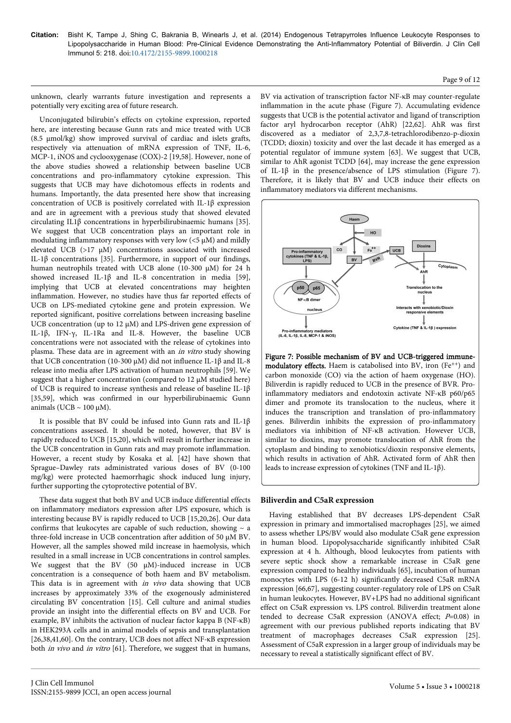#### Page 9 of 12

unknown, clearly warrants future investigation and represents a potentially very exciting area of future research.

Unconjugated bilirubin's effects on cytokine expression, reported here, are interesting because Gunn rats and mice treated with UCB (8.5 µmol/kg) show improved survival of cardiac and islets grafts, respectively via attenuation of mRNA expression of TNF, IL-6, MCP-1, iNOS and cyclooxygenase (COX)-2 [19,58]. However, none of the above studies showed a relationship between baseline UCB concentrations and pro-inflammatory cytokine expression. This suggests that UCB may have dichotomous effects in rodents and humans. Importantly, the data presented here show that increasing concentration of UCB is positively correlated with IL-1β expression and are in agreement with a previous study that showed elevated circulating IL1β concentrations in hyperbilirubinaemic humans [35]. We suggest that UCB concentration plays an important role in modulating inflammatory responses with very low  $\left\langle \langle 5 \mu M \rangle \right\rangle$  and mildly elevated UCB (>17 μM) concentrations associated with increased IL-1β concentrations [35]. Furthermore, in support of our findings, human neutrophils treated with UCB alone (10-300 µM) for 24 h showed increased IL-1β and IL-8 concentration in media [59], implying that UCB at elevated concentrations may heighten inflammation. However, no studies have thus far reported effects of UCB on LPS-mediated cytokine gene and protein expression. We reported significant, positive correlations between increasing baseline UCB concentration (up to 12 μM) and LPS-driven gene expression of IL-1β, IFN-γ, IL-1Ra and IL-8. However, the baseline UCB concentrations were not associated with the release of cytokines into plasma. These data are in agreement with an in vitro study showing that UCB concentration (10-300 µM) did not influence IL-1β and IL-8 release into media after LPS activation of human neutrophils [59]. We suggest that a higher concentration (compared to  $12 \mu M$  studied here) of UCB is required to increase synthesis and release of baseline IL-1β [35,59], which was confirmed in our hyperbilirubinaemic Gunn animals (UCB  $\sim$  100 μM).

It is possible that BV could be infused into Gunn rats and IL-1β concentrations assessed. It should be noted, however, that BV is rapidly reduced to UCB [15,20], which will result in further increase in the UCB concentration in Gunn rats and may promote inflammation. However, a recent study by Kosaka et al. [42] have shown that Sprague–Dawley rats administrated various doses of BV (0-100 mg/kg) were protected haemorrhagic shock induced lung injury, further supporting the cytoprotective potential of BV.

These data suggest that both BV and UCB induce differential effects on inflammatory mediators expression after LPS exposure, which is interesting because BV is rapidly reduced to UCB [15,20,26]. Our data confirms that leukocytes are capable of such reduction, showing  $\sim$  a three-fold increase in UCB concentration after addition of 50 µM BV. However, all the samples showed mild increase in haemolysis, which resulted in a small increase in UCB concentrations in control samples. We suggest that the BV (50 µM)-induced increase in UCB concentration is a consequence of both haem and BV metabolism. This data is in agreement with in vivo data showing that UCB increases by approximately 33% of the exogenously administered circulating BV concentration [15]. Cell culture and animal studies provide an insight into the differential effects on BV and UCB. For example, BV inhibits the activation of nuclear factor kappa B (NF-κB) in HEK293A cells and in animal models of sepsis and transplantation [26,38,41,60]. On the contrary, UCB does not affect NF-κB expression both *in vivo* and *in vitro* [61]. Therefore, we suggest that in humans, BV via activation of transcription factor NF-κB may counter-regulate inflammation in the acute phase (Figure 7). Accumulating evidence suggests that UCB is the potential activator and ligand of transcription factor aryl hydrocarbon receptor (AhR) [22,62]. AhR was first discovered as a mediator of 2,3,7,8-tetrachlorodibenzo-p-dioxin (TCDD; dioxin) toxicity and over the last decade it has emerged as a potential regulator of immune system [63]. We suggest that UCB, similar to AhR agonist TCDD [64], may increase the gene expression of IL-1β in the presence/absence of LPS stimulation (Figure 7). Therefore, it is likely that BV and UCB induce their effects on inflammatory mediators via different mechanisms.



Figure 7: Possible mechanism of BV and UCB-triggered immunemodulatory effects. Haem is catabolised into BV, iron (Fe<sup>++</sup>) and carbon monoxide (CO) via the action of haem oxygenase (HO). Biliverdin is rapidly reduced to UCB in the presence of BVR. Proinflammatory mediators and endotoxin activate NF-κB p60/p65 dimer and promote its translocation to the nucleus, where it induces the transcription and translation of pro-inflammatory genes. Biliverdin inhibits the expression of pro-inflammatory mediators via inhibition of NF-κB activation. However UCB, similar to dioxins, may promote translocation of AhR from the cytoplasm and binding to xenobiotics/dioxin responsive elements, which results in activation of AhR. Activated form of AhR then leads to increase expression of cytokines (TNF and IL-1β).

#### **Biliverdin and C5aR expression**

Having established that BV decreases LPS-dependent C5aR expression in primary and immortalised macrophages [25], we aimed to assess whether LPS/BV would also modulate C5aR gene expression in human blood. Lipopolysaccharide significantly inhibited C5aR expression at 4 h. Although, blood leukocytes from patients with severe septic shock show a remarkable increase in C5aR gene expression compared to healthy individuals [65], incubation of human monocytes with LPS (6-12 h) significantly decreased C5aR mRNA expression [66,67], suggesting counter-regulatory role of LPS on C5aR in human leukocytes. However, BV+LPS had no additional significant effect on C5aR expression vs. LPS control. Biliverdin treatment alone tended to decrease C5aR expression (ANOVA effect;  $P=0.08$ ) in agreement with our previous published reports indicating that BV treatment of macrophages decreases C5aR expression [25]. Assessment of C5aR expression in a larger group of individuals may be necessary to reveal a statistically significant effect of BV.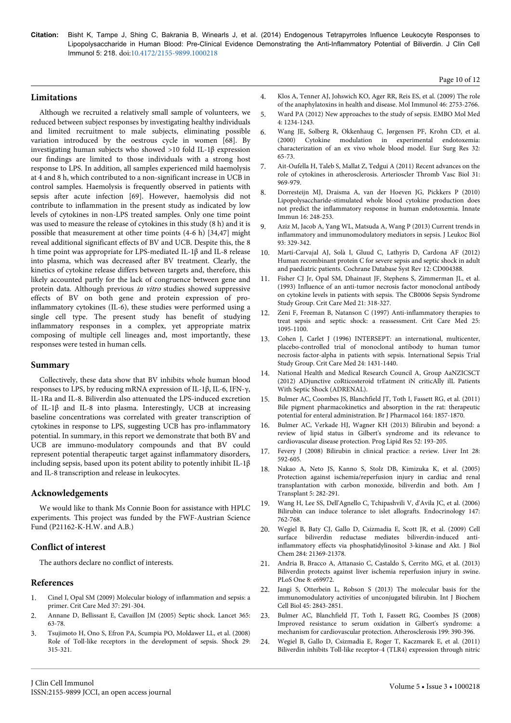## **Limitations**

Although we recruited a relatively small sample of volunteers, we reduced between subject responses by investigating healthy individuals and limited recruitment to male subjects, eliminating possible variation introduced by the oestrous cycle in women [68]. By investigating human subjects who showed >10 fold IL-1β expression our findings are limited to those individuals with a strong host response to LPS. In addition, all samples experienced mild haemolysis at 4 and 8 h, which contributed to a non-significant increase in UCB in control samples. Haemolysis is frequently observed in patients with sepsis after acute infection [69]. However, haemolysis did not contribute to inflammation in the present study as indicated by low levels of cytokines in non-LPS treated samples. Only one time point was used to measure the release of cytokines in this study (8 h) and it is possible that measurement at other time points (4-6 h) [34,47] might reveal additional significant effects of BV and UCB. Despite this, the 8 h time point was appropriate for LPS-mediated IL-1β and IL-8 release into plasma, which was decreased after BV treatment. Clearly, the kinetics of cytokine release differs between targets and, therefore, this likely accounted partly for the lack of congruence between gene and protein data. Although previous in vitro studies showed suppressive effects of BV on both gene and protein expression of proinflammatory cytokines (IL-6), these studies were performed using a single cell type. The present study has benefit of studying inflammatory responses in a complex, yet appropriate matrix composing of multiple cell lineages and, most importantly, these responses were tested in human cells.

#### **Summary**

Collectively, these data show that BV inhibits whole human blood responses to LPS, by reducing mRNA expression of IL-1β, IL-6, IFN-γ, IL-1Ra and IL-8. Biliverdin also attenuated the LPS-induced excretion of IL-1β and IL-8 into plasma. Interestingly, UCB at increasing baseline concentrations was correlated with greater transcription of cytokines in response to LPS, suggesting UCB has pro-inflammatory potential. In summary, in this report we demonstrate that both BV and UCB are immuno-modulatory compounds and that BV could represent potential therapeutic target against inflammatory disorders, including sepsis, based upon its potent ability to potently inhibit IL-1 $\beta$ and IL-8 transcription and release in leukocytes.

#### **Acknowledgements**

We would like to thank Ms Connie Boon for assistance with HPLC experiments. This project was funded by the FWF-Austrian Science Fund (P21162-K-H.W. and A.B.)

## **Conflict of interest**

The authors declare no conflict of interests.

#### **References**

- 1. [Cinel I, Opal SM \(2009\) Molecular biology of inflammation and sepsis: a](http://www.ncbi.nlm.nih.gov/pubmed/19050640) [primer. Crit Care Med 37: 291-304.](http://www.ncbi.nlm.nih.gov/pubmed/19050640)
- 2. [Annane D, Bellissant E, Cavaillon JM \(2005\) Septic shock. Lancet 365:](http://www.ncbi.nlm.nih.gov/pubmed/15639681) [63-78.](http://www.ncbi.nlm.nih.gov/pubmed/15639681)
- 3. [Tsujimoto H, Ono S, Efron PA, Scumpia PO, Moldawer LL, et al. \(2008\)](http://www.ncbi.nlm.nih.gov/pubmed/18277854) [Role of Toll-like receptors in the development of sepsis. Shock 29:](http://www.ncbi.nlm.nih.gov/pubmed/18277854) [315-321.](http://www.ncbi.nlm.nih.gov/pubmed/18277854)
- 4. [Klos A, Tenner AJ, Johswich KO, Ager RR, Reis ES, et al. \(2009\) The role](http://www.ncbi.nlm.nih.gov/pubmed/19477527) [of the anaphylatoxins in health and disease. Mol Immunol 46: 2753-2766.](http://www.ncbi.nlm.nih.gov/pubmed/19477527)
- 5. [Ward PA \(2012\) New approaches to the study of sepsis. EMBO Mol Med](http://www.ncbi.nlm.nih.gov/pubmed/23208733) [4: 1234-1243.](http://www.ncbi.nlm.nih.gov/pubmed/23208733)
- 6. [Wang JE, Solberg R, Okkenhaug C, Jørgensen PF, Krohn CD, et al.](http://www.ncbi.nlm.nih.gov/pubmed/10810211) [\(2000\) Cytokine modulation in experimental endotoxemia:](http://www.ncbi.nlm.nih.gov/pubmed/10810211) [characterization of an ex vivo whole blood model. Eur Surg Res 32:](http://www.ncbi.nlm.nih.gov/pubmed/10810211) [65-73.](http://www.ncbi.nlm.nih.gov/pubmed/10810211)
- 7. [Ait-Oufella H, Taleb S, Mallat Z, Tedgui A \(2011\) Recent advances on the](http://www.ncbi.nlm.nih.gov/pubmed/21508343) [role of cytokines in atherosclerosis. Arterioscler Thromb Vasc Biol 31:](http://www.ncbi.nlm.nih.gov/pubmed/21508343) [969-979.](http://www.ncbi.nlm.nih.gov/pubmed/21508343)
- 8. [Dorresteijn MJ, Draisma A, van der Hoeven JG, Pickkers P \(2010\)](http://www.ncbi.nlm.nih.gov/pubmed/19710091) [Lipopolysaccharide-stimulated whole blood cytokine production does](http://www.ncbi.nlm.nih.gov/pubmed/19710091) [not predict the inflammatory response in human endotoxemia. Innate](http://www.ncbi.nlm.nih.gov/pubmed/19710091) [Immun 16: 248-253.](http://www.ncbi.nlm.nih.gov/pubmed/19710091)
- 9. [Aziz M, Jacob A, Yang WL, Matsuda A, Wang P \(2013\) Current trends in](http://www.ncbi.nlm.nih.gov/pubmed/23136259) [inflammatory and immunomodulatory mediators in sepsis. J Leukoc Biol](http://www.ncbi.nlm.nih.gov/pubmed/23136259) [93: 329-342.](http://www.ncbi.nlm.nih.gov/pubmed/23136259)
- 10. [Martí-Carvajal AJ, Solà I, Gluud C, Lathyris D, Cardona AF \(2012\)](http://www.ncbi.nlm.nih.gov/pubmed/23235609) [Human recombinant protein C for severe sepsis and septic shock in adult](http://www.ncbi.nlm.nih.gov/pubmed/23235609) [and paediatric patients. Cochrane Database Syst Rev 12: CD004388.](http://www.ncbi.nlm.nih.gov/pubmed/23235609)
- 11. [Fisher CJ Jr, Opal SM, Dhainaut JF, Stephens S, Zimmerman JL, et al.](http://www.ncbi.nlm.nih.gov/pubmed/8440099) [\(1993\) Influence of an anti-tumor necrosis factor monoclonal antibody](http://www.ncbi.nlm.nih.gov/pubmed/8440099) [on cytokine levels in patients with sepsis. The CB0006 Sepsis Syndrome](http://www.ncbi.nlm.nih.gov/pubmed/8440099) [Study Group. Crit Care Med 21: 318-327.](http://www.ncbi.nlm.nih.gov/pubmed/8440099)
- [Zeni F, Freeman B, Natanson C \(1997\) Anti-inflammatory therapies to](http://www.ncbi.nlm.nih.gov/pubmed/9233726) [treat sepsis and septic shock: a reassessment. Crit Care Med 25:](http://www.ncbi.nlm.nih.gov/pubmed/9233726) [1095-1100.](http://www.ncbi.nlm.nih.gov/pubmed/9233726)
- 13. [Cohen J, Carlet J \(1996\) INTERSEPT: an international, multicenter,](http://www.ncbi.nlm.nih.gov/pubmed/8797612) [placebo-controlled trial of monoclonal antibody to human tumor](http://www.ncbi.nlm.nih.gov/pubmed/8797612) [necrosis factor-alpha in patients with sepsis. International Sepsis Trial](http://www.ncbi.nlm.nih.gov/pubmed/8797612) [Study Group. Crit Care Med 24: 1431-1440.](http://www.ncbi.nlm.nih.gov/pubmed/8797612)
- 14. [National Health and Medical Research Council A, Group AaNZICSCT](http://clinicaltrials.gov/show/NCT01448109) [\(2012\) ADjunctive coRticosteroid trEatment iN criticAlly ilL Patients](http://clinicaltrials.gov/show/NCT01448109) [With Septic Shock \(ADRENAL\).](http://clinicaltrials.gov/show/NCT01448109)
- 15. [Bulmer AC, Coombes JS, Blanchfield JT, Toth I, Fassett RG, et al. \(2011\)](http://www.ncbi.nlm.nih.gov/pubmed/21486273) [Bile pigment pharmacokinetics and absorption in the rat: therapeutic](http://www.ncbi.nlm.nih.gov/pubmed/21486273) [potential for enteral administration. Br J Pharmacol 164: 1857-1870.](http://www.ncbi.nlm.nih.gov/pubmed/21486273)
- 16. [Bulmer AC, Verkade HJ, Wagner KH \(2013\) Bilirubin and beyond: a](http://www.ncbi.nlm.nih.gov/pubmed/23201182) [review of lipid status in Gilbert's syndrome and its relevance to](http://www.ncbi.nlm.nih.gov/pubmed/23201182) [cardiovascular disease protection. Prog Lipid Res 52: 193-205.](http://www.ncbi.nlm.nih.gov/pubmed/23201182)
- 17. [Fevery J \(2008\) Bilirubin in clinical practice: a review. Liver Int 28:](http://www.ncbi.nlm.nih.gov/pubmed/18433389) [592-605.](http://www.ncbi.nlm.nih.gov/pubmed/18433389)
- 18. [Nakao A, Neto JS, Kanno S, Stolz DB, Kimizuka K, et al. \(2005\)](http://www.ncbi.nlm.nih.gov/pubmed/15643987) [Protection against ischemia/reperfusion injury in cardiac and renal](http://www.ncbi.nlm.nih.gov/pubmed/15643987) [transplantation with carbon monoxide, biliverdin and both. Am J](http://www.ncbi.nlm.nih.gov/pubmed/15643987) [Transplant 5: 282-291.](http://www.ncbi.nlm.nih.gov/pubmed/15643987)
- 19. [Wang H, Lee SS, Dell'Agnello C, Tchipashvili V, d'Avila JC, et al. \(2006\)](http://www.ncbi.nlm.nih.gov/pubmed/16254033) [Bilirubin can induce tolerance to islet allografts. Endocrinology 147:](http://www.ncbi.nlm.nih.gov/pubmed/16254033) [762-768.](http://www.ncbi.nlm.nih.gov/pubmed/16254033)
- 20. [Wegiel B, Baty CJ, Gallo D, Csizmadia E, Scott JR, et al. \(2009\) Cell](http://www.ncbi.nlm.nih.gov/pubmed/19509285) [surface biliverdin reductase mediates biliverdin-induced anti](http://www.ncbi.nlm.nih.gov/pubmed/19509285)[inflammatory effects via phosphatidylinositol 3-kinase and Akt. J Biol](http://www.ncbi.nlm.nih.gov/pubmed/19509285) [Chem 284: 21369-21378.](http://www.ncbi.nlm.nih.gov/pubmed/19509285)
- 21. [Andria B, Bracco A, Attanasio C, Castaldo S, Cerrito MG, et al. \(2013\)](http://www.ncbi.nlm.nih.gov/pubmed/23922878) [Biliverdin protects against liver ischemia reperfusion injury in swine.](http://www.ncbi.nlm.nih.gov/pubmed/23922878) [PLoS One 8: e69972.](http://www.ncbi.nlm.nih.gov/pubmed/23922878)
- 22. [Jangi S, Otterbein L, Robson S \(2013\) The molecular basis for the](http://www.ncbi.nlm.nih.gov/pubmed/24144577) [immunomodulatory activities of unconjugated bilirubin. Int J Biochem](http://www.ncbi.nlm.nih.gov/pubmed/24144577) [Cell Biol 45: 2843-2851.](http://www.ncbi.nlm.nih.gov/pubmed/24144577)
- 23. [Bulmer AC, Blanchfield JT, Toth I, Fassett RG, Coombes JS \(2008\)](http://www.ncbi.nlm.nih.gov/pubmed/18155709) [Improved resistance to serum oxidation in Gilbert's syndrome: a](http://www.ncbi.nlm.nih.gov/pubmed/18155709) [mechanism for cardiovascular protection. Atherosclerosis 199: 390-396.](http://www.ncbi.nlm.nih.gov/pubmed/18155709)
- 24. [Wegiel B, Gallo D, Csizmadia E, Roger T, Kaczmarek E, et al. \(2011\)](http://www.ncbi.nlm.nih.gov/pubmed/22042868) [Biliverdin inhibits Toll-like receptor-4 \(TLR4\) expression through nitric](http://www.ncbi.nlm.nih.gov/pubmed/22042868)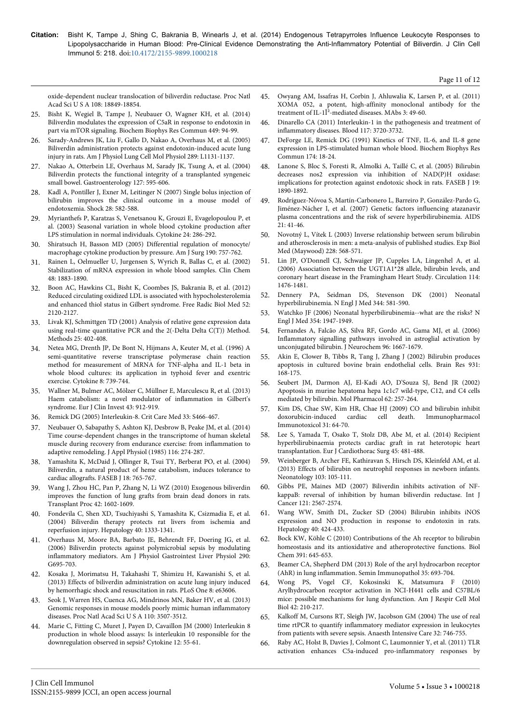Page 11 of 12

[oxide-dependent nuclear translocation of biliverdin reductase. Proc Natl](http://www.ncbi.nlm.nih.gov/pubmed/22042868) [Acad Sci U S A 108: 18849-18854.](http://www.ncbi.nlm.nih.gov/pubmed/22042868)

- 25. [Bisht K, Wegiel B, Tampe J, Neubauer O, Wagner KH, et al. \(2014\)](http://www.ncbi.nlm.nih.gov/pubmed/24814708) [Biliverdin modulates the expression of C5aR in response to endotoxin in](http://www.ncbi.nlm.nih.gov/pubmed/24814708) [part via mTOR signaling. Biochem Biophys Res Commun 449: 94-99.](http://www.ncbi.nlm.nih.gov/pubmed/24814708)
- 26. [Sarady-Andrews JK, Liu F, Gallo D, Nakao A, Overhaus M, et al. \(2005\)](http://www.ncbi.nlm.nih.gov/pubmed/16155084) [Biliverdin administration protects against endotoxin-induced acute lung](http://www.ncbi.nlm.nih.gov/pubmed/16155084) [injury in rats. Am J Physiol Lung Cell Mol Physiol 289: L1131-1137.](http://www.ncbi.nlm.nih.gov/pubmed/16155084)
- 27. [Nakao A, Otterbein LE, Overhaus M, Sarady JK, Tsung A, et al. \(2004\)](http://www.ncbi.nlm.nih.gov/pubmed/15300591) [Biliverdin protects the functional integrity of a transplanted syngeneic](http://www.ncbi.nlm.nih.gov/pubmed/15300591) [small bowel. Gastroenterology 127: 595-606.](http://www.ncbi.nlm.nih.gov/pubmed/15300591)
- 28. [Kadl A, Pontiller J, Exner M, Leitinger N \(2007\) Single bolus injection of](http://www.ncbi.nlm.nih.gov/pubmed/17577133) [bilirubin improves the clinical outcome in a mouse model of](http://www.ncbi.nlm.nih.gov/pubmed/17577133) [endotoxemia. Shock 28: 582-588.](http://www.ncbi.nlm.nih.gov/pubmed/17577133)
- 29. [Myrianthefs P, Karatzas S, Venetsanou K, Grouzi E, Evagelopoulou P, et](http://www.ncbi.nlm.nih.gov/pubmed/14609570) [al. \(2003\) Seasonal variation in whole blood cytokine production after](http://www.ncbi.nlm.nih.gov/pubmed/14609570) [LPS stimulation in normal individuals. Cytokine 24: 286-292.](http://www.ncbi.nlm.nih.gov/pubmed/14609570)
- 30. [Shiratsuch H, Basson MD \(2005\) Differential regulation of monocyte/](http://www.ncbi.nlm.nih.gov/pubmed/16226954) [macrophage cytokine production by pressure. Am J Surg 190: 757-762.](http://www.ncbi.nlm.nih.gov/pubmed/16226954)
- 31. [Rainen L, Oelmueller U, Jurgensen S, Wyrich R, Ballas C, et al. \(2002\)](http://www.ncbi.nlm.nih.gov/pubmed/12406972) [Stabilization of mRNA expression in whole blood samples. Clin Chem](http://www.ncbi.nlm.nih.gov/pubmed/12406972) [48: 1883-1890.](http://www.ncbi.nlm.nih.gov/pubmed/12406972)
- 32. [Boon AC, Hawkins CL, Bisht K, Coombes JS, Bakrania B, et al. \(2012\)](http://www.ncbi.nlm.nih.gov/pubmed/22521902) [Reduced circulating oxidized LDL is associated with hypocholesterolemia](http://www.ncbi.nlm.nih.gov/pubmed/22521902) [and enhanced thiol status in Gilbert syndrome. Free Radic Biol Med 52:](http://www.ncbi.nlm.nih.gov/pubmed/22521902) [2120-2127.](http://www.ncbi.nlm.nih.gov/pubmed/22521902)
- 33. [Livak KJ, Schmittgen TD \(2001\) Analysis of relative gene expression data](http://www.ncbi.nlm.nih.gov/pubmed/11846609) [using real-time quantitative PCR and the 2\(-Delta Delta C\(T\)\) Method.](http://www.ncbi.nlm.nih.gov/pubmed/11846609) [Methods 25: 402-408.](http://www.ncbi.nlm.nih.gov/pubmed/11846609)
- 34. [Netea MG, Drenth JP, De Bont N, Hijmans A, Keuter M, et al. \(1996\) A](http://www.ncbi.nlm.nih.gov/pubmed/8932986) [semi-quantitative reverse transcriptase polymerase chain reaction](http://www.ncbi.nlm.nih.gov/pubmed/8932986) [method for measurement of MRNA for TNF-alpha and IL-1 beta in](http://www.ncbi.nlm.nih.gov/pubmed/8932986) [whole blood cultures: its application in typhoid fever and exentric](http://www.ncbi.nlm.nih.gov/pubmed/8932986) [exercise. Cytokine 8: 739-744.](http://www.ncbi.nlm.nih.gov/pubmed/8932986)
- 35. [Wallner M, Bulmer AC, Mölzer C, Müllner E, Marculescu R, et al. \(2013\)](http://www.ncbi.nlm.nih.gov/pubmed/23865893) [Haem catabolism: a novel modulator of inflammation in Gilbert's](http://www.ncbi.nlm.nih.gov/pubmed/23865893) [syndrome. Eur J Clin Invest 43: 912-919.](http://www.ncbi.nlm.nih.gov/pubmed/23865893)
- 36. [Remick DG \(2005\) Interleukin-8. Crit Care Med 33: S466-467.](http://www.ncbi.nlm.nih.gov/pubmed/16340423)
- 37. [Neubauer O, Sabapathy S, Ashton KJ, Desbrow B, Peake JM, et al. \(2014\)](http://www.ncbi.nlm.nih.gov/pubmed/24311745) [Time course-dependent changes in the transcriptome of human skeletal](http://www.ncbi.nlm.nih.gov/pubmed/24311745) [muscle during recovery from endurance exercise: from inflammation to](http://www.ncbi.nlm.nih.gov/pubmed/24311745) [adaptive remodeling. J Appl Physiol \(1985\) 116: 274-287.](http://www.ncbi.nlm.nih.gov/pubmed/24311745)
- 38. [Yamashita K, McDaid J, Ollinger R, Tsui TY, Berberat PO, et al. \(2004\)](http://www.ncbi.nlm.nih.gov/pubmed/14977878) [Biliverdin, a natural product of heme catabolism, induces tolerance to](http://www.ncbi.nlm.nih.gov/pubmed/14977878) [cardiac allografts. FASEB J 18: 765-767.](http://www.ncbi.nlm.nih.gov/pubmed/14977878)
- 39. [Wang J, Zhou HC, Pan P, Zhang N, Li WZ \(2010\) Exogenous biliverdin](http://www.ncbi.nlm.nih.gov/pubmed/20620483) [improves the function of lung grafts from brain dead donors in rats.](http://www.ncbi.nlm.nih.gov/pubmed/20620483) [Transplant Proc 42: 1602-1609.](http://www.ncbi.nlm.nih.gov/pubmed/20620483)
- 40. [Fondevila C, Shen XD, Tsuchiyashi S, Yamashita K, Csizmadia E, et al.](http://www.ncbi.nlm.nih.gov/pubmed/15565657) [\(2004\) Biliverdin therapy protects rat livers from ischemia and](http://www.ncbi.nlm.nih.gov/pubmed/15565657) [reperfusion injury. Hepatology 40: 1333-1341.](http://www.ncbi.nlm.nih.gov/pubmed/15565657)
- 41. [Overhaus M, Moore BA, Barbato JE, Behrendt FF, Doering JG, et al.](http://www.ncbi.nlm.nih.gov/pubmed/16537973) [\(2006\) Biliverdin protects against polymicrobial sepsis by modulating](http://www.ncbi.nlm.nih.gov/pubmed/16537973) [inflammatory mediators. Am J Physiol Gastrointest Liver Physiol 290:](http://www.ncbi.nlm.nih.gov/pubmed/16537973) [G695-703.](http://www.ncbi.nlm.nih.gov/pubmed/16537973)
- 42. [Kosaka J, Morimatsu H, Takahashi T, Shimizu H, Kawanishi S, et al.](http://www.ncbi.nlm.nih.gov/pubmed/23667646) [\(2013\) Effects of biliverdin administration on acute lung injury induced](http://www.ncbi.nlm.nih.gov/pubmed/23667646) [by hemorrhagic shock and resuscitation in rats. PLoS One 8: e63606.](http://www.ncbi.nlm.nih.gov/pubmed/23667646)
- 43. [Seok J, Warren HS, Cuenca AG, Mindrinos MN, Baker HV, et al. \(2013\)](http://www.ncbi.nlm.nih.gov/pubmed/23401516) [Genomic responses in mouse models poorly mimic human inflammatory](http://www.ncbi.nlm.nih.gov/pubmed/23401516) [diseases. Proc Natl Acad Sci U S A 110: 3507-3512.](http://www.ncbi.nlm.nih.gov/pubmed/23401516)
- 44. [Marie C, Fitting C, Muret J, Payen D, Cavaillon JM \(2000\) Interleukin 8](http://www.ncbi.nlm.nih.gov/pubmed/10623443) [production in whole blood assays: Is interleukin 10 responsible for the](http://www.ncbi.nlm.nih.gov/pubmed/10623443) [downregulation observed in sepsis? Cytokine 12: 55-61.](http://www.ncbi.nlm.nih.gov/pubmed/10623443)
- 45. [Owyang AM, Issafras H, Corbin J, Ahluwalia K, Larsen P, et al. \(2011\)](http://www.ncbi.nlm.nih.gov/pubmed/21048425) [XOMA 052, a potent, high-affinity monoclonal antibody for the](http://www.ncbi.nlm.nih.gov/pubmed/21048425) treatment of IL-1Î<sup>2</sup>-mediated diseases. MAbs 3: 49-60.
- 46. [Dinarello CA \(2011\) Interleukin-1 in the pathogenesis and treatment of](http://www.ncbi.nlm.nih.gov/pubmed/21304099) [inflammatory diseases. Blood 117: 3720-3732.](http://www.ncbi.nlm.nih.gov/pubmed/21304099)
- 47. [DeForge LE, Remick DG \(1991\) Kinetics of TNF, IL-6, and IL-8 gene](http://www.ncbi.nlm.nih.gov/pubmed/1989598) [expression in LPS-stimulated human whole blood. Biochem Biophys Res](http://www.ncbi.nlm.nih.gov/pubmed/1989598) [Commun 174: 18-24.](http://www.ncbi.nlm.nih.gov/pubmed/1989598)
- 48. [Lanone S, Bloc S, Foresti R, Almolki A, Taillé C, et al. \(2005\) Bilirubin](http://www.ncbi.nlm.nih.gov/pubmed/16129699) [decreases nos2 expression via inhibition of NAD\(P\)H oxidase:](http://www.ncbi.nlm.nih.gov/pubmed/16129699) [implications for protection against endotoxic shock in rats. FASEB J 19:](http://www.ncbi.nlm.nih.gov/pubmed/16129699) [1890-1892.](http://www.ncbi.nlm.nih.gov/pubmed/16129699)
- 49. [Rodríguez-Nóvoa S, Martín-Carbonero L, Barreiro P, González-Pardo G,](http://www.ncbi.nlm.nih.gov/pubmed/17148966) [Jiménez-Nácher I, et al. \(2007\) Genetic factors influencing atazanavir](http://www.ncbi.nlm.nih.gov/pubmed/17148966) [plasma concentrations and the risk of severe hyperbilirubinemia. AIDS](http://www.ncbi.nlm.nih.gov/pubmed/17148966)  $21.41 - 46$
- 50. [Novotný L, Vítek L \(2003\) Inverse relationship between serum bilirubin](http://www.ncbi.nlm.nih.gov/pubmed/12709588) [and atherosclerosis in men: a meta-analysis of published studies. Exp Biol](http://www.ncbi.nlm.nih.gov/pubmed/12709588) [Med \(Maywood\) 228: 568-571.](http://www.ncbi.nlm.nih.gov/pubmed/12709588)
- 51. [Lin JP, O'Donnell CJ, Schwaiger JP, Cupples LA, Lingenhel A, et al.](http://www.ncbi.nlm.nih.gov/pubmed/17000907) [\(2006\) Association between the UGT1A1\\*28 allele, bilirubin levels, and](http://www.ncbi.nlm.nih.gov/pubmed/17000907) [coronary heart disease in the Framingham Heart Study. Circulation 114:](http://www.ncbi.nlm.nih.gov/pubmed/17000907) [1476-1481.](http://www.ncbi.nlm.nih.gov/pubmed/17000907)
- 52. [Dennery PA, Seidman DS, Stevenson DK \(2001\) Neonatal](http://www.ncbi.nlm.nih.gov/pubmed/11207355) [hyperbilirubinemia. N Engl J Med 344: 581-590.](http://www.ncbi.nlm.nih.gov/pubmed/11207355)
- 53. [Watchko JF \(2006\) Neonatal hyperbilirubinemia--what are the risks? N](http://www.ncbi.nlm.nih.gov/pubmed/16672708) [Engl J Med 354: 1947-1949.](http://www.ncbi.nlm.nih.gov/pubmed/16672708)
- 54. [Fernandes A, Falcão AS, Silva RF, Gordo AC, Gama MJ, et al. \(2006\)](http://www.ncbi.nlm.nih.gov/pubmed/16476078) [Inflammatory signalling pathways involved in astroglial activation by](http://www.ncbi.nlm.nih.gov/pubmed/16476078) [unconjugated bilirubin. J Neurochem 96: 1667-1679.](http://www.ncbi.nlm.nih.gov/pubmed/16476078)
- 55. [Akin E, Clower B, Tibbs R, Tang J, Zhang J \(2002\) Bilirubin produces](http://www.ncbi.nlm.nih.gov/pubmed/11897102) [apoptosis in cultured bovine brain endothelial cells. Brain Res 931:](http://www.ncbi.nlm.nih.gov/pubmed/11897102) [168-175.](http://www.ncbi.nlm.nih.gov/pubmed/11897102)
- 56. [Seubert JM, Darmon AJ, El-Kadi AO, D'Souza SJ, Bend JR \(2002\)](http://www.ncbi.nlm.nih.gov/pubmed/12130676) [Apoptosis in murine hepatoma hepa 1c1c7 wild-type, C12, and C4 cells](http://www.ncbi.nlm.nih.gov/pubmed/12130676) [mediated by bilirubin. Mol Pharmacol 62: 257-264.](http://www.ncbi.nlm.nih.gov/pubmed/12130676)
- 57. [Kim DS, Chae SW, Kim HR, Chae HJ \(2009\) CO and bilirubin inhibit](http://www.ncbi.nlm.nih.gov/pubmed/18756386) doxorubicin-induced cardiac cell death. [Immunotoxicol 31: 64-70.](http://www.ncbi.nlm.nih.gov/pubmed/18756386)
- 58. [Lee S, Yamada T, Osako T, Stolz DB, Abe M, et al. \(2014\) Recipient](http://www.ncbi.nlm.nih.gov/pubmed/23946500) [hyperbilirubinaemia protects cardiac graft in rat heterotopic heart](http://www.ncbi.nlm.nih.gov/pubmed/23946500) [transplantation. Eur J Cardiothorac Surg 45: 481-488.](http://www.ncbi.nlm.nih.gov/pubmed/23946500)
- 59. [Weinberger B, Archer FE, Kathiravan S, Hirsch DS, Kleinfeld AM, et al.](http://www.ncbi.nlm.nih.gov/pubmed/23182920) [\(2013\) Effects of bilirubin on neutrophil responses in newborn infants.](http://www.ncbi.nlm.nih.gov/pubmed/23182920) [Neonatology 103: 105-111.](http://www.ncbi.nlm.nih.gov/pubmed/23182920)
- 60. [Gibbs PE, Maines MD \(2007\) Biliverdin inhibits activation of NF](http://www.ncbi.nlm.nih.gov/pubmed/17683071)[kappaB: reversal of inhibition by human biliverdin reductase. Int J](http://www.ncbi.nlm.nih.gov/pubmed/17683071) [Cancer 121: 2567-2574.](http://www.ncbi.nlm.nih.gov/pubmed/17683071)
- 61. [Wang WW, Smith DL, Zucker SD \(2004\) Bilirubin inhibits iNOS](http://www.ncbi.nlm.nih.gov/pubmed/15368447) [expression and NO production in response to endotoxin in rats.](http://www.ncbi.nlm.nih.gov/pubmed/15368447) [Hepatology 40: 424-433.](http://www.ncbi.nlm.nih.gov/pubmed/15368447)
- 62. [Bock KW, Köhle C \(2010\) Contributions of the Ah receptor to bilirubin](http://www.ncbi.nlm.nih.gov/pubmed/20370320) [homeostasis and its antioxidative and atheroprotective functions. Biol](http://www.ncbi.nlm.nih.gov/pubmed/20370320) [Chem 391: 645-653.](http://www.ncbi.nlm.nih.gov/pubmed/20370320)
- 63. [Beamer CA, Shepherd DM \(2013\) Role of the aryl hydrocarbon receptor](http://www.ncbi.nlm.nih.gov/pubmed/23963493) [\(AhR\) in lung inflammation. Semin Immunopathol 35: 693-704.](http://www.ncbi.nlm.nih.gov/pubmed/23963493)
- 64. [Wong PS, Vogel CF, Kokosinski K, Matsumura F \(2010\)](http://www.ncbi.nlm.nih.gov/pubmed/19372248) [Arylhydrocarbon receptor activation in NCI-H441 cells and C57BL/6](http://www.ncbi.nlm.nih.gov/pubmed/19372248) [mice: possible mechanisms for lung dysfunction. Am J Respir Cell Mol](http://www.ncbi.nlm.nih.gov/pubmed/19372248) [Biol 42: 210-217.](http://www.ncbi.nlm.nih.gov/pubmed/19372248)
- 65. [Kalkoff M, Cursons RT, Sleigh JW, Jacobson GM \(2004\) The use of real](http://www.ncbi.nlm.nih.gov/pubmed/15648982) [time rtPCR to quantify inflammatory mediator expression in leukocytes](http://www.ncbi.nlm.nih.gov/pubmed/15648982) [from patients with severe sepsis. Anaesth Intensive Care 32: 746-755.](http://www.ncbi.nlm.nih.gov/pubmed/15648982)
- 66. [Raby AC, Holst B, Davies J, Colmont C, Laumonnier Y, et al. \(2011\) TLR](http://www.ncbi.nlm.nih.gov/pubmed/21630250) [activation enhances C5a-induced pro-inflammatory responses by](http://www.ncbi.nlm.nih.gov/pubmed/21630250)